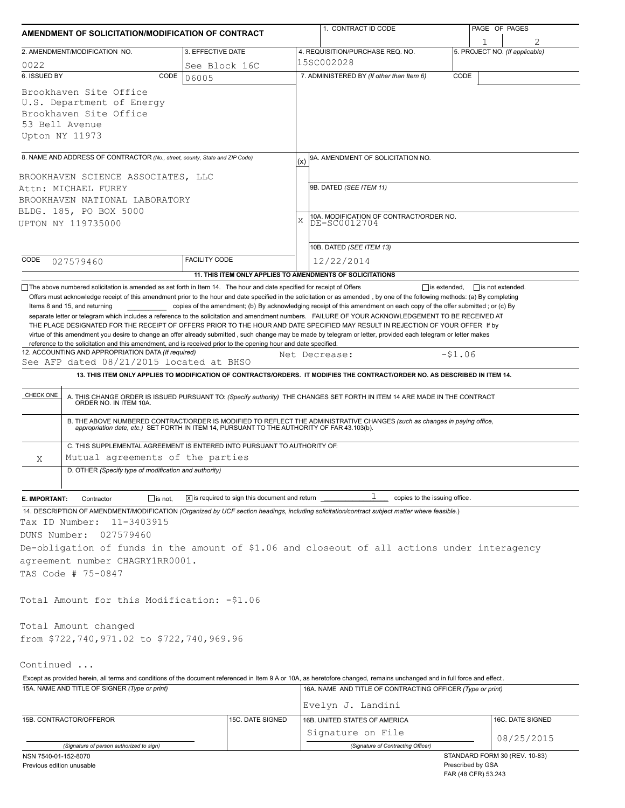| AMENDMENT OF SOLICITATION/MODIFICATION OF CONTRACT                                                                                                                                                                                                                                                                                                                                                                                                                                                                                                                                                                                                                   |                                                           |                             | 1. CONTRACT ID CODE                                                                                                                                                                                                      |                   | PAGE OF PAGES                  |  |  |
|----------------------------------------------------------------------------------------------------------------------------------------------------------------------------------------------------------------------------------------------------------------------------------------------------------------------------------------------------------------------------------------------------------------------------------------------------------------------------------------------------------------------------------------------------------------------------------------------------------------------------------------------------------------------|-----------------------------------------------------------|-----------------------------|--------------------------------------------------------------------------------------------------------------------------------------------------------------------------------------------------------------------------|-------------------|--------------------------------|--|--|
| 2. AMENDMENT/MODIFICATION NO.                                                                                                                                                                                                                                                                                                                                                                                                                                                                                                                                                                                                                                        | 3. EFFECTIVE DATE                                         |                             | 4. REQUISITION/PURCHASE REQ. NO.                                                                                                                                                                                         |                   | 5. PROJECT NO. (If applicable) |  |  |
| 0022                                                                                                                                                                                                                                                                                                                                                                                                                                                                                                                                                                                                                                                                 | See Block 16C                                             |                             | 15SC002028                                                                                                                                                                                                               |                   |                                |  |  |
| 6. ISSUED BY<br>CODE                                                                                                                                                                                                                                                                                                                                                                                                                                                                                                                                                                                                                                                 | 06005                                                     |                             | 7. ADMINISTERED BY (If other than Item 6)                                                                                                                                                                                | CODE              |                                |  |  |
| Brookhaven Site Office<br>U.S. Department of Energy<br>Brookhaven Site Office<br>53 Bell Avenue<br>Upton NY 11973                                                                                                                                                                                                                                                                                                                                                                                                                                                                                                                                                    |                                                           |                             |                                                                                                                                                                                                                          |                   |                                |  |  |
| 8. NAME AND ADDRESS OF CONTRACTOR (No., street, county, State and ZIP Code)                                                                                                                                                                                                                                                                                                                                                                                                                                                                                                                                                                                          |                                                           | (x)                         | 9A. AMENDMENT OF SOLICITATION NO.                                                                                                                                                                                        |                   |                                |  |  |
|                                                                                                                                                                                                                                                                                                                                                                                                                                                                                                                                                                                                                                                                      |                                                           |                             |                                                                                                                                                                                                                          |                   |                                |  |  |
| BROOKHAVEN SCIENCE ASSOCIATES, LLC<br>Attn: MICHAEL FUREY                                                                                                                                                                                                                                                                                                                                                                                                                                                                                                                                                                                                            |                                                           |                             | 9B. DATED (SEE ITEM 11)                                                                                                                                                                                                  |                   |                                |  |  |
| BROOKHAVEN NATIONAL LABORATORY                                                                                                                                                                                                                                                                                                                                                                                                                                                                                                                                                                                                                                       |                                                           |                             |                                                                                                                                                                                                                          |                   |                                |  |  |
| BLDG. 185, PO BOX 5000                                                                                                                                                                                                                                                                                                                                                                                                                                                                                                                                                                                                                                               |                                                           |                             | 10A. MODIFICATION OF CONTRACT/ORDER NO.                                                                                                                                                                                  |                   |                                |  |  |
| UPTON NY 119735000                                                                                                                                                                                                                                                                                                                                                                                                                                                                                                                                                                                                                                                   |                                                           | $\mathbf x$<br>DE-SC0012704 |                                                                                                                                                                                                                          |                   |                                |  |  |
|                                                                                                                                                                                                                                                                                                                                                                                                                                                                                                                                                                                                                                                                      |                                                           |                             |                                                                                                                                                                                                                          |                   |                                |  |  |
| CODE                                                                                                                                                                                                                                                                                                                                                                                                                                                                                                                                                                                                                                                                 | <b>FACILITY CODE</b>                                      |                             | 10B. DATED (SEE ITEM 13)                                                                                                                                                                                                 |                   |                                |  |  |
| 027579460                                                                                                                                                                                                                                                                                                                                                                                                                                                                                                                                                                                                                                                            | 11. THIS ITEM ONLY APPLIES TO AMENDMENTS OF SOLICITATIONS |                             | 12/22/2014                                                                                                                                                                                                               |                   |                                |  |  |
| Items 8 and 15, and returning<br>separate letter or telegram which includes a reference to the solicitation and amendment numbers. FAILURE OF YOUR ACKNOWLEDGEMENT TO BE RECEIVED AT<br>THE PLACE DESIGNATED FOR THE RECEIPT OF OFFERS PRIOR TO THE HOUR AND DATE SPECIFIED MAY RESULT IN REJECTION OF YOUR OFFER If by<br>virtue of this amendment you desire to change an offer already submitted, such change may be made by telegram or letter, provided each telegram or letter makes<br>reference to the solicitation and this amendment, and is received prior to the opening hour and date specified.<br>12. ACCOUNTING AND APPROPRIATION DATA (If required) |                                                           |                             | copies of the amendment; (b) By acknowledging receipt of this amendment on each copy of the offer submitted; or (c) By<br>Net Decrease:                                                                                  | $-51.06$          |                                |  |  |
| See AFP dated 08/21/2015 located at BHSO                                                                                                                                                                                                                                                                                                                                                                                                                                                                                                                                                                                                                             |                                                           |                             |                                                                                                                                                                                                                          |                   |                                |  |  |
|                                                                                                                                                                                                                                                                                                                                                                                                                                                                                                                                                                                                                                                                      |                                                           |                             | 13. THIS ITEM ONLY APPLIES TO MODIFICATION OF CONTRACTS/ORDERS. IT MODIFIES THE CONTRACT/ORDER NO. AS DESCRIBED IN ITEM 14.                                                                                              |                   |                                |  |  |
| CHECK ONE                                                                                                                                                                                                                                                                                                                                                                                                                                                                                                                                                                                                                                                            |                                                           |                             |                                                                                                                                                                                                                          |                   |                                |  |  |
|                                                                                                                                                                                                                                                                                                                                                                                                                                                                                                                                                                                                                                                                      |                                                           |                             | A. THIS CHANGE ORDER IS ISSUED PURSUANT TO: (Specify authority) THE CHANGES SET FORTH IN ITEM 14 ARE MADE IN THE CONTRACT ORDER NO. IN ITEM 10A.                                                                         |                   |                                |  |  |
| C. THIS SUPPLEMENTAL AGREEMENT IS ENTERED INTO PURSUANT TO AUTHORITY OF:                                                                                                                                                                                                                                                                                                                                                                                                                                                                                                                                                                                             |                                                           |                             | B. THE ABOVE NUMBERED CONTRACT/ORDER IS MODIFIED TO REFLECT THE ADMINISTRATIVE CHANGES (such as changes in paying office,<br>appropriation date, etc.) SET FORTH IN ITEM 14, PURSUANT TO THE AUTHORITY OF FAR 43.103(b). |                   |                                |  |  |
| Mutual agreements of the parties<br>Χ                                                                                                                                                                                                                                                                                                                                                                                                                                                                                                                                                                                                                                |                                                           |                             |                                                                                                                                                                                                                          |                   |                                |  |  |
| D. OTHER (Specify type of modification and authority)                                                                                                                                                                                                                                                                                                                                                                                                                                                                                                                                                                                                                |                                                           |                             |                                                                                                                                                                                                                          |                   |                                |  |  |
|                                                                                                                                                                                                                                                                                                                                                                                                                                                                                                                                                                                                                                                                      |                                                           |                             | T                                                                                                                                                                                                                        |                   |                                |  |  |
| $\Box$ is not.<br>E. IMPORTANT:<br>Contractor<br>14. DESCRIPTION OF AMENDMENT/MODIFICATION (Organized by UCF section headings, including solicitation/contract subject matter where feasible.)                                                                                                                                                                                                                                                                                                                                                                                                                                                                       | X is required to sign this document and return            |                             | copies to the issuing office.                                                                                                                                                                                            |                   |                                |  |  |
| Tax ID Number:<br>11-3403915                                                                                                                                                                                                                                                                                                                                                                                                                                                                                                                                                                                                                                         |                                                           |                             |                                                                                                                                                                                                                          |                   |                                |  |  |
| DUNS Number:<br>027579460                                                                                                                                                                                                                                                                                                                                                                                                                                                                                                                                                                                                                                            |                                                           |                             |                                                                                                                                                                                                                          |                   |                                |  |  |
| De-obligation of funds in the amount of \$1.06 and closeout of all actions under interagency                                                                                                                                                                                                                                                                                                                                                                                                                                                                                                                                                                         |                                                           |                             |                                                                                                                                                                                                                          |                   |                                |  |  |
| agreement number CHAGRY1RR0001.                                                                                                                                                                                                                                                                                                                                                                                                                                                                                                                                                                                                                                      |                                                           |                             |                                                                                                                                                                                                                          |                   |                                |  |  |
| TAS Code # 75-0847                                                                                                                                                                                                                                                                                                                                                                                                                                                                                                                                                                                                                                                   |                                                           |                             |                                                                                                                                                                                                                          |                   |                                |  |  |
| Total Amount for this Modification: -\$1.06                                                                                                                                                                                                                                                                                                                                                                                                                                                                                                                                                                                                                          |                                                           |                             |                                                                                                                                                                                                                          |                   |                                |  |  |
| Total Amount changed                                                                                                                                                                                                                                                                                                                                                                                                                                                                                                                                                                                                                                                 |                                                           |                             |                                                                                                                                                                                                                          |                   |                                |  |  |
| from \$722,740,971.02 to \$722,740,969.96                                                                                                                                                                                                                                                                                                                                                                                                                                                                                                                                                                                                                            |                                                           |                             |                                                                                                                                                                                                                          |                   |                                |  |  |
|                                                                                                                                                                                                                                                                                                                                                                                                                                                                                                                                                                                                                                                                      |                                                           |                             |                                                                                                                                                                                                                          |                   |                                |  |  |
| Continued                                                                                                                                                                                                                                                                                                                                                                                                                                                                                                                                                                                                                                                            |                                                           |                             |                                                                                                                                                                                                                          |                   |                                |  |  |
| Except as provided herein, all terms and conditions of the document referenced in Item 9 A or 10A, as heretofore changed, remains unchanged and in full force and effect.                                                                                                                                                                                                                                                                                                                                                                                                                                                                                            |                                                           |                             |                                                                                                                                                                                                                          |                   |                                |  |  |
| 15A. NAME AND TITLE OF SIGNER (Type or print)                                                                                                                                                                                                                                                                                                                                                                                                                                                                                                                                                                                                                        |                                                           |                             | 16A. NAME AND TITLE OF CONTRACTING OFFICER (Type or print)                                                                                                                                                               |                   |                                |  |  |
|                                                                                                                                                                                                                                                                                                                                                                                                                                                                                                                                                                                                                                                                      |                                                           |                             | Evelyn J. Landini                                                                                                                                                                                                        |                   |                                |  |  |
| 15B. CONTRACTOR/OFFEROR                                                                                                                                                                                                                                                                                                                                                                                                                                                                                                                                                                                                                                              | 15C. DATE SIGNED                                          |                             | 16B. UNITED STATES OF AMERICA                                                                                                                                                                                            |                   | 16C. DATE SIGNED               |  |  |
|                                                                                                                                                                                                                                                                                                                                                                                                                                                                                                                                                                                                                                                                      |                                                           |                             | Signature on File                                                                                                                                                                                                        |                   |                                |  |  |
| (Signature of person authorized to sign)                                                                                                                                                                                                                                                                                                                                                                                                                                                                                                                                                                                                                             |                                                           |                             | (Signature of Contracting Officer)                                                                                                                                                                                       |                   | 08/25/2015                     |  |  |
| NSN 7540-01-152-8070                                                                                                                                                                                                                                                                                                                                                                                                                                                                                                                                                                                                                                                 |                                                           |                             |                                                                                                                                                                                                                          |                   | STANDARD FORM 30 (REV. 10-83)  |  |  |
| Previous edition unusable                                                                                                                                                                                                                                                                                                                                                                                                                                                                                                                                                                                                                                            |                                                           |                             |                                                                                                                                                                                                                          | Prescribed by GSA |                                |  |  |